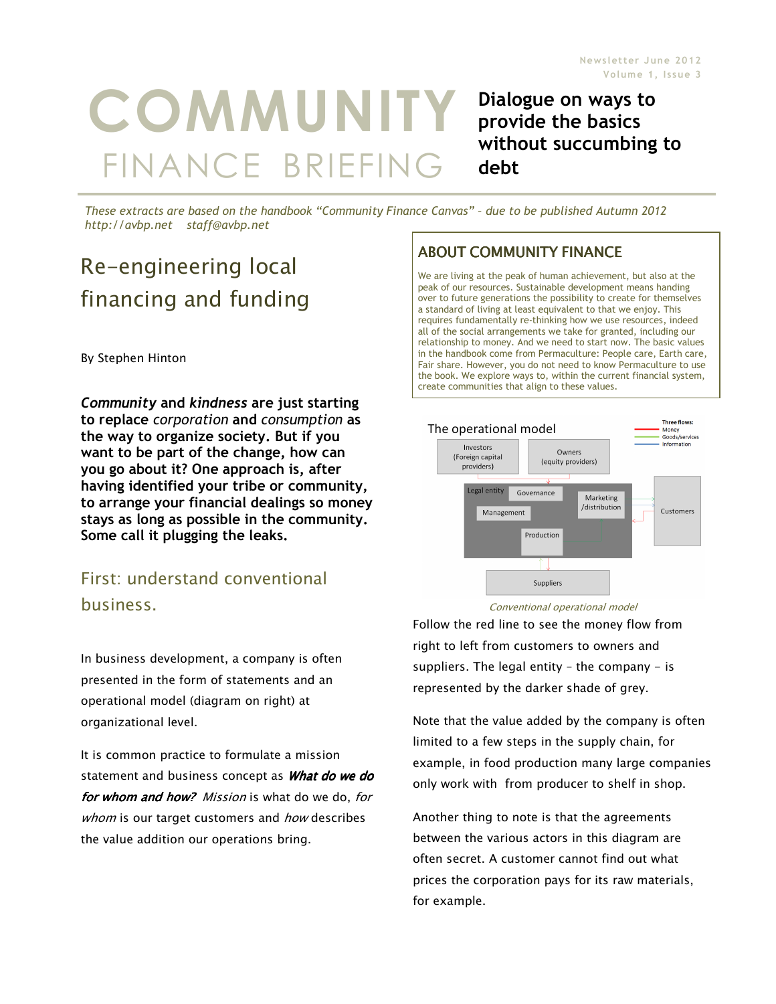# **COMMUNITY** FINANCE BRIEFING

Dialogue on ways to provide the basics without succumbing to debt

These extracts are based on the handbook "Community Finance Canvas" – due to be published Autumn 2012 http://avbp.net staff@avbp.net

## Re-engineering local financing and funding

By Stephen Hinton

Community and kindness are just starting to replace corporation and consumption as the way to organize society. But if you want to be part of the change, how can you go about it? One approach is, after having identified your tribe or community, to arrange your financial dealings so money stays as long as possible in the community. Some call it plugging the leaks.

## First: understand conventional business.

In business development, a company is often presented in the form of statements and an operational model (diagram on right) at organizational level.

It is common practice to formulate a mission statement and business concept as **What do we do** for whom and how? Mission is what do we do, for whom is our target customers and how describes the value addition our operations bring.

### **ABOUT COMMUNITY FINANCE**

We are living at the peak of human achievement, but also at the peak of our resources. Sustainable development means handing over to future generations the possibility to create for themselves a standard of living at least equivalent to that we enjoy. This requires fundamentally re-thinking how we use resources, indeed all of the social arrangements we take for granted, including our relationship to money. And we need to start now. The basic values in the handbook come from Permaculture: People care, Earth care, Fair share. However, you do not need to know Permaculture to use the book. We explore ways to, within the current financial system, create communities that align to these values.



#### Conventional operational model

Follow the red line to see the money flow from right to left from customers to owners and suppliers. The legal entity  $-$  the company  $-$  is represented by the darker shade of grey.

Note that the value added by the company is often limited to a few steps in the supply chain, for example, in food production many large companies only work with from producer to shelf in shop.

Another thing to note is that the agreements between the various actors in this diagram are often secret. A customer cannot find out what prices the corporation pays for its raw materials, for example.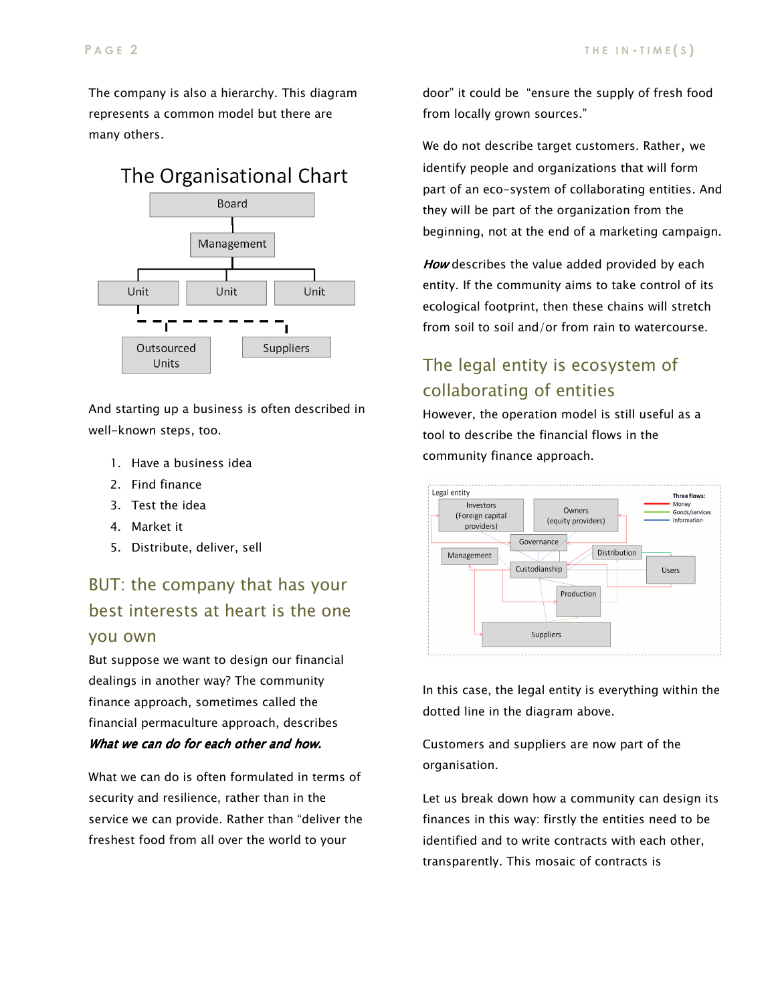The company is also a hierarchy. This diagram represents a common model but there are many others.



And starting up a business is often described in well-known steps, too.

- 1. Have a business idea
- 2. Find finance
- 3. Test the idea
- 4. Market it
- 5. Distribute, deliver, sell

## BUT: the company that has your best interests at heart is the one you own

But suppose we want to design our financial dealings in another way? The community finance approach, sometimes called the financial permaculture approach, describes What we can do for each other and how.

What we can do is often formulated in terms of security and resilience, rather than in the service we can provide. Rather than "deliver the freshest food from all over the world to your

door" it could be "ensure the supply of fresh food from locally grown sources."

We do not describe target customers. Rather, we identify people and organizations that will form part of an eco-system of collaborating entities. And they will be part of the organization from the beginning, not at the end of a marketing campaign.

How describes the value added provided by each entity. If the community aims to take control of its ecological footprint, then these chains will stretch from soil to soil and/or from rain to watercourse.

## The legal entity is ecosystem of collaborating of entities

However, the operation model is still useful as a tool to describe the financial flows in the community finance approach.



In this case, the legal entity is everything within the dotted line in the diagram above.

Customers and suppliers are now part of the organisation.

Let us break down how a community can design its finances in this way: firstly the entities need to be identified and to write contracts with each other, transparently. This mosaic of contracts is